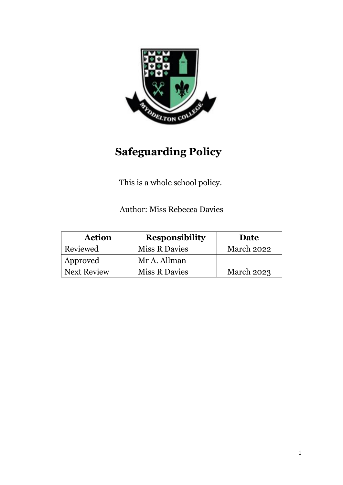

# **Safeguarding Policy**

This is a whole school policy.

Author: Miss Rebecca Davies

| <b>Action</b>      | <b>Responsibility</b> | Date              |
|--------------------|-----------------------|-------------------|
| Reviewed           | <b>Miss R Davies</b>  | March 2022        |
| Approved           | Mr A. Allman          |                   |
| <b>Next Review</b> | <b>Miss R Davies</b>  | <b>March 2023</b> |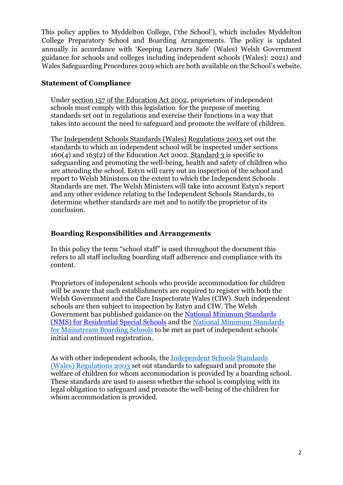This policy applies to Myddelton College, ('the School'), which includes Myddelton College Preparatory School and Boarding Arrangements. The policy is updated annually in accordance with 'Keeping Learners Safe' (Wales) Welsh Government guidance for schools and colleges including independent schools (Wales): 2021) and Wales Safeguarding Procedures 2019 which are both available on the School's website.

#### **Statement of Compliance**

Under [section 157 of the Education Act 2002,](http://www.legislation.gov.uk/ukpga/2002/32/section/157) proprietors of independent schools must comply with this legislation for the purpose of meeting standards set out in regulations and exercise their functions in a way that takes into account the need to safeguard and promote the welfare of children.

The Independent [Schools Standards \(Wales\) Regulations 2003 s](http://www.legislation.gov.uk/wsi/2003/3234/introduction/made)et out the standards to which an independent school will be inspected under sections  $160(4)$  and  $163(2)$  of the Education Act 2002. [Standard 3 i](http://www.legislation.gov.uk/wsi/2003/3234/schedule/paragraph/3/made)s specific to safeguarding and promoting the well-being, health and safety of children who are attending the school. Estyn will carry out an inspection of the school and report to Welsh Ministers on the extent to which the Independent Schools Standards are met. The Welsh Ministers will take into account Estyn's report and any other evidence relating to the Independent Schools Standards, to determine whether standards are met and to notify the proprietor of its conclusion.

#### **Boarding Responsibilities and Arrangements**

In this policy the term "school staff" is used throughout the document this refers to all staff including boarding staff adherence and compliance with its content.

Proprietors of independent schools who provide accommodation for children will be aware that such establishments are required to register with both the Welsh Government and the Care Inspectorate Wales (CIW). Such independent schools are then subject to inspection by Estyn and CIW. The Welsh Government has published guidance on the National Minimum Standards (NMS) for Residential Special Schools and the [National Minimum Standards](file:///C:/Users/n.pritchard/AppData/Local/Microsoft/Windows/INetCache/Content.Outlook/YXPB7ENL/national%20minimum%20standards%20for%20mainstream%20boarding%20schools)  [for Mainstream Boarding Schools](file:///C:/Users/n.pritchard/AppData/Local/Microsoft/Windows/INetCache/Content.Outlook/YXPB7ENL/national%20minimum%20standards%20for%20mainstream%20boarding%20schools) to be met as part of independent schools' initial and continued registration.

As with other independent schools, the [Independent Schools Standards](http://www.legislation.gov.uk/wsi/2003/3234/introduction/made) [\(Wales\) Regulations 2003 s](http://www.legislation.gov.uk/wsi/2003/3234/introduction/made)et out standards to safeguard and promote the welfare of children for whom accommodation is provided by a boarding school. These standards are used to assess whether the school is complying with its legal obligation to safeguard and promote the well-being of the children for whom accommodation is provided.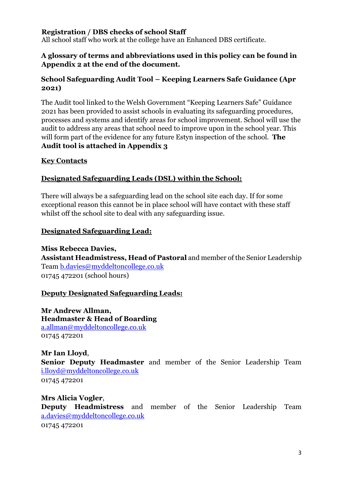#### **Registration / DBS checks of school Staff**

All school staff who work at the college have an Enhanced DBS certificate.

#### **A glossary of terms and abbreviations used in this policy can be found in Appendix 2 at the end of the document.**

#### **School Safeguarding Audit Tool – Keeping Learners Safe Guidance (Apr 2021)**

The Audit tool linked to the Welsh Government "Keeping Learners Safe" Guidance 2021 has been provided to assist schools in evaluating its safeguarding procedures, processes and systems and identify areas for school improvement. School will use the audit to address any areas that school need to improve upon in the school year. This will form part of the evidence for any future Estyn inspection of the school. **The Audit tool is attached in Appendix 3**

#### **Key Contacts**

# **Designated Safeguarding Leads (DSL) within the School:**

There will always be a safeguarding lead on the school site each day. If for some exceptional reason this cannot be in place school will have contact with these staff whilst off the school site to deal with any safeguarding issue.

# **Designated Safeguarding Lead:**

**Miss Rebecca Davies, Assistant Headmistress, Head of Pastoral** and member of the Senior Leadership Team b.davies@myddeltoncollege.co.uk 01745 472201 (school hours)

#### **Deputy Designated Safeguarding Leads:**

**Mr Andrew Allman, Headmaster & Head of Boarding** a.allman@myddeltoncollege.co.uk 01745 472201

# **Mr Ian Lloyd**,

**Senior Deputy Headmaster** and member of the Senior Leadership Team i.lloyd@myddeltoncollege.co.uk 01745 472201

#### **Mrs Alicia Vogler**,

**Deputy Headmistress** and member of the Senior Leadership Team a.davies@myddeltoncollege.co.uk 01745 472201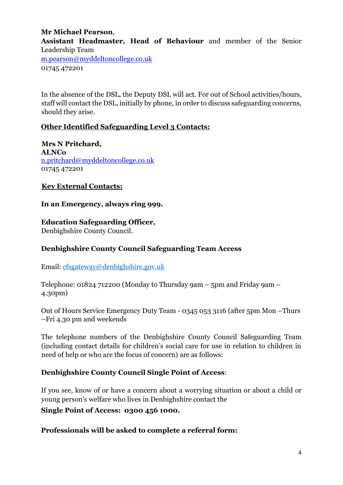#### **Mr Michael Pearson**,

**Assistant Headmaster, Head of Behaviour** and member of the Senior Leadership Team

m.pearson@myddeltoncollege.co.uk 01745 472201

In the absence of the DSL, the Deputy DSL will act. For out of School activities/hours, staff will contact the DSL, initially by phone, in order to discuss safeguarding concerns, should they arise.

# **Other Identified Safeguarding Level 3 Contacts:**

**Mrs N Pritchard, ALNCo** n.pritchard@myddeltoncollege.co.uk 01745 472201

#### **Key External Contacts:**

#### **In an Emergency, always ring 999.**

# **Education Safeguarding Officer,**

Denbighshire County Council.

#### **Denbighshire County Council Safeguarding Team Access**

Email: [cfsgateway@denbighshire.gov.uk](mailto:cfsgateway@denbighshire.gov.uk)

Telephone: 01824 712200 (Monday to Thursday 9am – 5pm and Friday 9am – 4.30pm)

Out of Hours Service Emergency Duty Team - 0345 053 3116 (after 5pm Mon –Thurs –Fri 4.30 pm and weekends

The telephone numbers of the Denbighshire County Council Safeguarding Team (including contact details for children's social care for use in relation to children in need of help or who are the focus of concern) are as follows:

#### **Denbighshire County Council Single Point of Access**:

If you see, know of or have a concern about a worrying situation or about a child or young person's welfare who lives in Denbighshire contact the

**Single Point of Access: 0300 456 1000.**

#### **Professionals will be asked to complete a referral form:**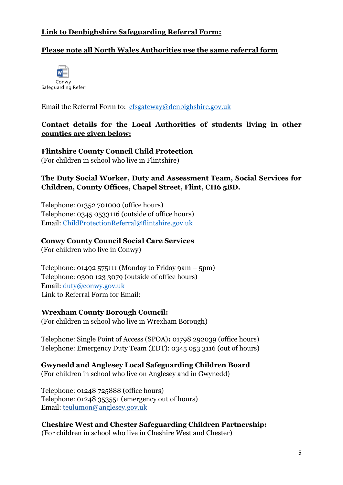# **Link to Denbighshire Safeguarding Referral Form:**

# **Please note all North Wales Authorities use the same referral form**



Email the Referral Form to: [cfsgateway@denbighshire.gov.uk](mailto:cfsgateway@denbighshire.gov.uk)

#### **Contact details for the Local Authorities of students living in other counties are given below:**

**Flintshire County Council Child Protection** (For children in school who live in Flintshire)

#### **The Duty Social Worker, Duty and Assessment Team, Social Services for Children, County Offices, Chapel Street, Flint, CH6 5BD.**

Telephone: 01352 701000 (office hours) Telephone: 0345 0533116 (outside of office hours) Email: [ChildProtectionReferral@flintshire.gov.uk](mailto:ChildProtectionReferral@flintshire.gov.uk)

#### **Conwy County Council Social Care Services**

(For children who live in Conwy)

Telephone:  $01492575111$  (Monday to Friday 9am – 5pm) Telephone: 0300 123 3079 (outside of office hours) Email: [duty@conwy.gov.uk](mailto:duty@conwy.gov.uk) Link to Referral Form for Email:

#### **Wrexham County Borough Council:**

(For children in school who live in Wrexham Borough)

Telephone: Single Point of Access (SPOA)**:** 01798 292039 (office hours) Telephone: Emergency Duty Team (EDT): 0345 053 3116 (out of hours)

#### **Gwynedd and Anglesey Local Safeguarding Children Board**

(For children in school who live on Anglesey and in Gwynedd)

Telephone: 01248 725888 (office hours) Telephone: 01248 353551 (emergency out of hours) Email: [teulumon@anglesey.gov.uk](mailto:teulumon@anglesey.gov.uk)

**Cheshire West and Chester Safeguarding Children Partnership:** (For children in school who live in Cheshire West and Chester)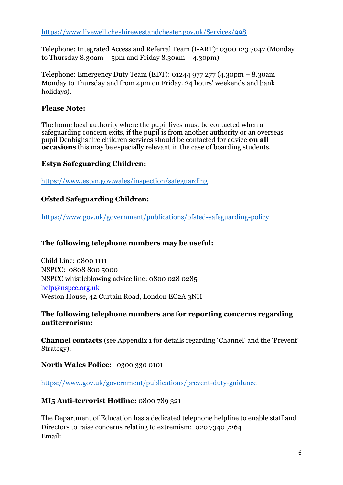<https://www.livewell.cheshirewestandchester.gov.uk/Services/998>

Telephone: Integrated Access and Referral Team (I-ART): 0300 123 7047 (Monday to Thursday  $8.30$ am – 5pm and Friday  $8.30$ am –  $4.30$ pm)

Telephone: Emergency Duty Team (EDT): 01244 977 277 (4.30pm – 8.30am Monday to Thursday and from 4pm on Friday. 24 hours' weekends and bank holidays).

#### **Please Note:**

The home local authority where the pupil lives must be contacted when a safeguarding concern exits, if the pupil is from another authority or an overseas pupil Denbighshire children services should be contacted for advice **on all occasions** this may be especially relevant in the case of boarding students.

#### **Estyn Safeguarding Children:**

<https://www.estyn.gov.wales/inspection/safeguarding>

# **Ofsted Safeguarding Children:**

<https://www.gov.uk/government/publications/ofsted-safeguarding-policy>

#### **The following telephone numbers may be useful:**

Child Line: 0800 1111 NSPCC: 0808 800 5000 NSPCC whistleblowing advice line: 0800 028 0285 help@nspcc.org.uk Weston House, 42 Curtain Road, London EC2A 3NH

#### **The following telephone numbers are for reporting concerns regarding antiterrorism:**

**Channel contacts** (see Appendix 1 for details regarding 'Channel' and the 'Prevent' Strategy):

**North Wales Police:** 0300 330 0101

<https://www.gov.uk/government/publications/prevent-duty-guidance>

#### **MI5 Anti-terrorist Hotline:** 0800 789 321

The Department of Education has a dedicated telephone helpline to enable staff and Directors to raise concerns relating to extremism: 020 7340 7264 Email: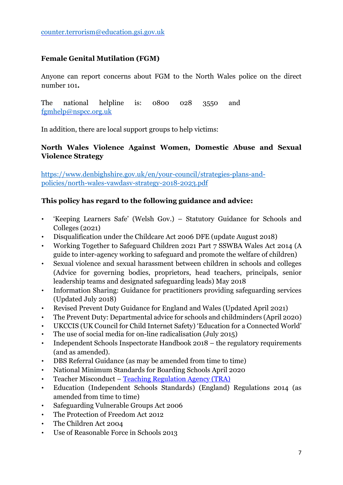#### **Female Genital Mutilation (FGM)**

Anyone can report concerns about FGM to the North Wales police on the direct number 101**.** 

The national helpline is: 0800 028 3550 and [fgmhelp@nspcc.org.uk](mailto:fgmhelp@nspcc.org.uk)

In addition, there are local support groups to help victims:

#### **North Wales Violence Against Women, Domestic Abuse and Sexual Violence Strategy**

[https://www.denbighshire.gov.uk/en/your-council/strategies-plans-and](https://www.denbighshire.gov.uk/en/your-council/strategies-plans-and-policies/north-wales-vawdasv-strategy-2018-2023.pdf)[policies/north-wales-vawdasv-strategy-2018-2023.pdf](https://www.denbighshire.gov.uk/en/your-council/strategies-plans-and-policies/north-wales-vawdasv-strategy-2018-2023.pdf)

#### **This policy has regard to the following guidance and advice:**

- 'Keeping Learners Safe' (Welsh Gov.) Statutory Guidance for Schools and Colleges (2021)
- Disqualification under the Childcare Act 2006 DFE (update August 2018)
- Working Together to Safeguard Children 2021 Part 7 SSWBA Wales Act 2014 (A guide to inter-agency working to safeguard and promote the welfare of children)
- Sexual violence and sexual harassment between children in schools and colleges (Advice for governing bodies, proprietors, head teachers, principals, senior leadership teams and designated safeguarding leads) May 2018
- Information Sharing: Guidance for practitioners providing safeguarding services (Updated July 2018)
- Revised Prevent Duty Guidance for England and Wales (Updated April 2021)
- The Prevent Duty: Departmental advice for schools and childminders (April 2020)
- UKCCIS (UK Council for Child Internet Safety) 'Education for a Connected World'
- The use of social media for on-line radicalisation (July 2015)
- Independent Schools Inspectorate Handbook 2018 the regulatory requirements (and as amended).
- DBS Referral Guidance (as may be amended from time to time)
- National Minimum Standards for Boarding Schools April 2020
- Teacher Misconduct [Teaching Regulation Agency \(TRA\)](https://www.gov.uk/government/organisations/teaching-regulation-agency)
- Education (Independent Schools Standards) (England) Regulations 2014 (as amended from time to time)
- Safeguarding Vulnerable Groups Act 2006
- The Protection of Freedom Act 2012
- The Children Act 2004
- Use of Reasonable Force in Schools 2013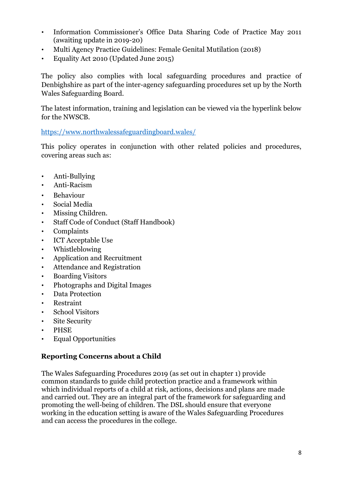- Information Commissioner's Office Data Sharing Code of Practice May 2011 (awaiting update in 2019-20)
- Multi Agency Practice Guidelines: Female Genital Mutilation (2018)
- Equality Act 2010 (Updated June 2015)

The policy also complies with local safeguarding procedures and practice of Denbighshire as part of the inter-agency safeguarding procedures set up by the North Wales Safeguarding Board.

The latest information, training and legislation can be viewed via the hyperlink below for the NWSCB.

<https://www.northwalessafeguardingboard.wales/>

This policy operates in conjunction with other related policies and procedures, covering areas such as:

- Anti-Bullying
- Anti-Racism
- Behaviour
- Social Media
- Missing Children.
- Staff Code of Conduct (Staff Handbook)
- Complaints
- ICT Acceptable Use
- Whistleblowing
- Application and Recruitment
- Attendance and Registration
- Boarding Visitors
- Photographs and Digital Images
- Data Protection
- Restraint
- School Visitors
- Site Security
- PHSE
- Equal Opportunities

#### **Reporting Concerns about a Child**

The Wales Safeguarding Procedures 2019 (as set out in chapter 1) provide common standards to guide child protection practice and a framework within which individual reports of a child at risk, actions, decisions and plans are made and carried out. They are an integral part of the framework for safeguarding and promoting the well-being of children. The DSL should ensure that everyone working in the education setting is aware of the Wales Safeguarding Procedures and can access the procedures in the college.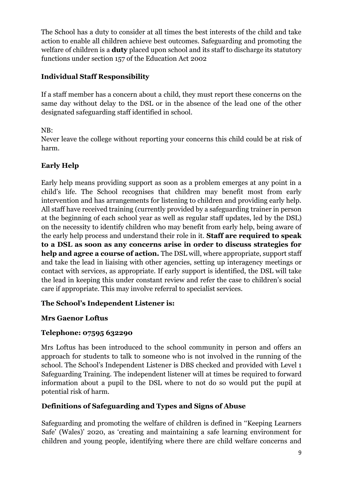The School has a duty to consider at all times the best interests of the child and take action to enable all children achieve best outcomes. Safeguarding and promoting the welfare of children is a **duty** placed upon school and its staff to discharge its statutory functions under section 157 of the Education Act 2002

# **Individual Staff Responsibility**

If a staff member has a concern about a child, they must report these concerns on the same day without delay to the DSL or in the absence of the lead one of the other designated safeguarding staff identified in school.

#### NB:

Never leave the college without reporting your concerns this child could be at risk of harm.

# **Early Help**

Early help means providing support as soon as a problem emerges at any point in a child's life. The School recognises that children may benefit most from early intervention and has arrangements for listening to children and providing early help. All staff have received training (currently provided by a safeguarding trainer in person at the beginning of each school year as well as regular staff updates, led by the DSL) on the necessity to identify children who may benefit from early help, being aware of the early help process and understand their role in it. **Staff are required to speak to a DSL as soon as any concerns arise in order to discuss strategies for help and agree a course of action.** The DSL will, where appropriate, support staff and take the lead in liaising with other agencies, setting up interagency meetings or contact with services, as appropriate. If early support is identified, the DSL will take the lead in keeping this under constant review and refer the case to children's social care if appropriate. This may involve referral to specialist services.

#### **The School's Independent Listener is:**

#### **Mrs Gaenor Loftus**

#### **Telephone: 07595 632290**

Mrs Loftus has been introduced to the school community in person and offers an approach for students to talk to someone who is not involved in the running of the school. The School's Independent Listener is DBS checked and provided with Level 1 Safeguarding Training. The independent listener will at times be required to forward information about a pupil to the DSL where to not do so would put the pupil at potential risk of harm.

#### **Definitions of Safeguarding and Types and Signs of Abuse**

Safeguarding and promoting the welfare of children is defined in ''Keeping Learners Safe' (Wales)' 2020, as 'creating and maintaining a safe learning environment for children and young people, identifying where there are child welfare concerns and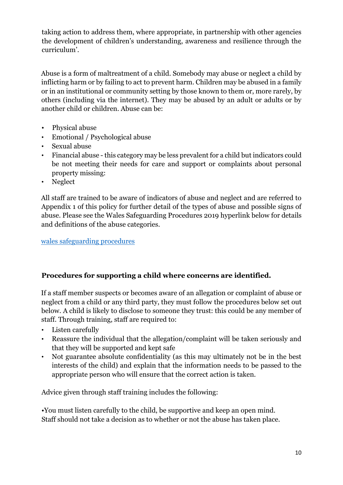taking action to address them, where appropriate, in partnership with other agencies the development of children's understanding, awareness and resilience through the curriculum'.

Abuse is a form of maltreatment of a child. Somebody may abuse or neglect a child by inflicting harm or by failing to act to prevent harm. Children may be abused in a family or in an institutional or community setting by those known to them or, more rarely, by others (including via the internet). They may be abused by an adult or adults or by another child or children. Abuse can be:

- Physical abuse
- Emotional / Psychological abuse
- Sexual abuse
- Financial abuse this category may be less prevalent for a child but indicators could be not meeting their needs for care and support or complaints about personal property missing:
- Neglect

All staff are trained to be aware of indicators of abuse and neglect and are referred to Appendix 1 of this policy for further detail of the types of abuse and possible signs of abuse. Please see the Wales Safeguarding Procedures 2019 hyperlink below for details and definitions of the abuse categories.

[wales safeguarding procedures](https://www.google.co.uk/search?q=wales+safeguarding+procedures&safe=strict&source=hp&ei=6Ee2YP6zD_ebjLsP9YKx6A0&iflsig=AINFCbYAAAAAYLZV-EC-qzKulPFtmGxXoxs2_DhQvxPq&oq=wales&gs_lcp=Cgdnd3Mtd2l6EAEYADIECAAQQzIECAAQQzIICAAQsQMQgwEyBQgAELEDMgQIABBDMgUIABCxAzIFCAAQsQMyBQguELEDMgUILhCxAzIECAAQQzoKCAAQsQMQgwEQQzoECC4QQzoHCC4QsQMQQzoHCAAQsQMQQ1DTEVjmHGCjN2gAcAB4AIABgQGIAaYEkgEDMS40mAEAoAEBqgEHZ3dzLXdpeg&sclient=gws-wiz) 

# **Procedures for supporting a child where concerns are identified.**

If a staff member suspects or becomes aware of an allegation or complaint of abuse or neglect from a child or any third party, they must follow the procedures below set out below. A child is likely to disclose to someone they trust: this could be any member of staff. Through training, staff are required to:

- Listen carefully
- Reassure the individual that the allegation/complaint will be taken seriously and that they will be supported and kept safe
- Not guarantee absolute confidentiality (as this may ultimately not be in the best interests of the child) and explain that the information needs to be passed to the appropriate person who will ensure that the correct action is taken.

Advice given through staff training includes the following:

•You must listen carefully to the child, be supportive and keep an open mind. Staff should not take a decision as to whether or not the abuse has taken place.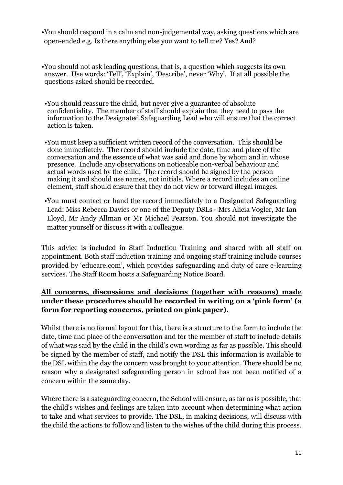- •You should respond in a calm and non-judgemental way, asking questions which are open-ended e.g. Is there anything else you want to tell me? Yes? And?
- •You should not ask leading questions, that is, a question which suggests its own answer. Use words: 'Tell', 'Explain', 'Describe', never 'Why'. If at all possible the questions asked should be recorded.
- •You should reassure the child, but never give a guarantee of absolute confidentiality. The member of staff should explain that they need to pass the information to the Designated Safeguarding Lead who will ensure that the correct action is taken.
- •You must keep a sufficient written record of the conversation. This should be done immediately. The record should include the date, time and place of the conversation and the essence of what was said and done by whom and in whose presence. Include any observations on noticeable non-verbal behaviour and actual words used by the child. The record should be signed by the person making it and should use names, not initials. Where a record includes an online element, staff should ensure that they do not view or forward illegal images.
- •You must contact or hand the record immediately to a Designated Safeguarding Lead: Miss Rebecca Davies or one of the Deputy DSLs - Mrs Alicia Vogler, Mr Ian Lloyd, Mr Andy Allman or Mr Michael Pearson. You should not investigate the matter yourself or discuss it with a colleague.

This advice is included in Staff Induction Training and shared with all staff on appointment. Both staff induction training and ongoing staff training include courses provided by 'educare.com', which provides safeguarding and duty of care e-learning services. The Staff Room hosts a Safeguarding Notice Board.

# **All concerns, discussions and decisions (together with reasons) made under these procedures should be recorded in writing on a 'pink form' (a form for reporting concerns, printed on pink paper).**

Whilst there is no formal layout for this, there is a structure to the form to include the date, time and place of the conversation and for the member of staff to include details of what was said by the child in the child's own wording as far as possible. This should be signed by the member of staff, and notify the DSL this information is available to the DSL within the day the concern was brought to your attention. There should be no reason why a designated safeguarding person in school has not been notified of a concern within the same day.

Where there is a safeguarding concern, the School will ensure, as far as is possible, that the child's wishes and feelings are taken into account when determining what action to take and what services to provide. The DSL, in making decisions, will discuss with the child the actions to follow and listen to the wishes of the child during this process.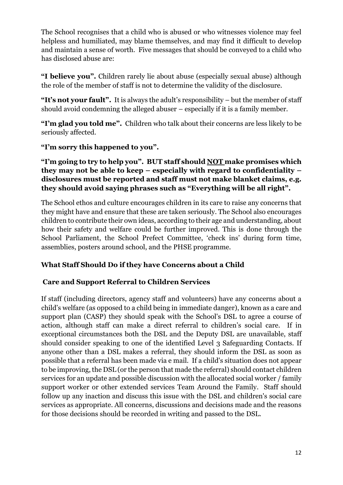The School recognises that a child who is abused or who witnesses violence may feel helpless and humiliated, may blame themselves, and may find it difficult to develop and maintain a sense of worth. Five messages that should be conveyed to a child who has disclosed abuse are:

**"I believe you".** Children rarely lie about abuse (especially sexual abuse) although the role of the member of staff is not to determine the validity of the disclosure.

**"It's not your fault".** It is always the adult's responsibility – but the member of staff should avoid condemning the alleged abuser – especially if it is a family member.

**"I'm glad you told me".** Children who talk about their concerns are less likely to be seriously affected.

**"I'm sorry this happened to you".** 

#### **"I'm going to try to help you". BUT staff should NOT make promises which they may not be able to keep – especially with regard to confidentiality – disclosures must be reported and staff must not make blanket claims, e.g. they should avoid saying phrases such as "Everything will be all right".**

The School ethos and culture encourages children in its care to raise any concerns that they might have and ensure that these are taken seriously. The School also encourages children to contribute their own ideas, according to their age and understanding, about how their safety and welfare could be further improved. This is done through the School Parliament, the School Prefect Committee, 'check ins' during form time, assemblies, posters around school, and the PHSE programme.

#### **What Staff Should Do if they have Concerns about a Child**

#### **Care and Support Referral to Children Services**

If staff (including directors, agency staff and volunteers) have any concerns about a child's welfare (as opposed to a child being in immediate danger), known as a care and support plan (CASP) they should speak with the School's DSL to agree a course of action, although staff can make a direct referral to children's social care. If in exceptional circumstances both the DSL and the Deputy DSL are unavailable, staff should consider speaking to one of the identified Level 3 Safeguarding Contacts. If anyone other than a DSL makes a referral, they should inform the DSL as soon as possible that a referral has been made via e mail. If a child's situation does not appear to be improving, the DSL (or the person that made the referral) should contact children services for an update and possible discussion with the allocated social worker / family support worker or other extended services Team Around the Family. Staff should follow up any inaction and discuss this issue with the DSL and children's social care services as appropriate. All concerns, discussions and decisions made and the reasons for those decisions should be recorded in writing and passed to the DSL.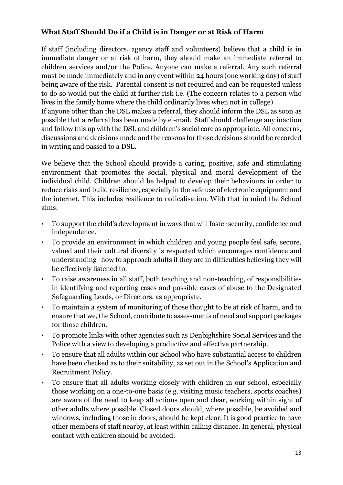#### **What Staff Should Do if a Child is in Danger or at Risk of Harm**

If staff (including directors, agency staff and volunteers) believe that a child is in immediate danger or at risk of harm, they should make an immediate referral to children services and/or the Police. Anyone can make a referral. Any such referral must be made immediately and in any event within 24 hours (one working day) of staff being aware of the risk. Parental consent is not required and can be requested unless to do so would put the child at further risk i.e. (The concern relates to a person who lives in the family home where the child ordinarily lives when not in college)

If anyone other than the DSL makes a referral, they should inform the DSL as soon as possible that a referral has been made by e -mail. Staff should challenge any inaction and follow this up with the DSL and children's social care as appropriate. All concerns, discussions and decisions made and the reasons for those decisions should be recorded in writing and passed to a DSL.

We believe that the School should provide a caring, positive, safe and stimulating environment that promotes the social, physical and moral development of the individual child. Children should be helped to develop their behaviours in order to reduce risks and build resilience, especially in the safe use of electronic equipment and the internet. This includes resilience to radicalisation. With that in mind the School aims:

- To support the child's development in ways that will foster security, confidence and independence.
- To provide an environment in which children and young people feel safe, secure, valued and their cultural diversity is respected which encourages confidence and understanding how to approach adults if they are in difficulties believing they will be effectively listened to.
- To raise awareness in all staff, both teaching and non-teaching, of responsibilities in identifying and reporting cases and possible cases of abuse to the Designated Safeguarding Leads, or Directors, as appropriate.
- To maintain a system of monitoring of those thought to be at risk of harm, and to ensure that we, the School, contribute to assessments of need and support packages for those children.
- To promote links with other agencies such as Denbighshire Social Services and the Police with a view to developing a productive and effective partnership.
- To ensure that all adults within our School who have substantial access to children have been checked as to their suitability, as set out in the School's Application and Recruitment Policy.
- To ensure that all adults working closely with children in our school, especially those working on a one-to-one basis (e.g. visiting music teachers, sports coaches) are aware of the need to keep all actions open and clear, working within sight of other adults where possible. Closed doors should, where possible, be avoided and windows, including those in doors, should be kept clear. It is good practice to have other members of staff nearby, at least within calling distance. In general, physical contact with children should be avoided.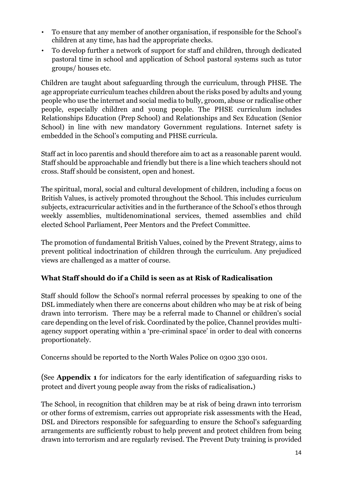- To ensure that any member of another organisation, if responsible for the School's children at any time, has had the appropriate checks.
- To develop further a network of support for staff and children, through dedicated pastoral time in school and application of School pastoral systems such as tutor groups/ houses etc.

Children are taught about safeguarding through the curriculum, through PHSE. The age appropriate curriculum teaches children about the risks posed by adults and young people who use the internet and social media to bully, groom, abuse or radicalise other people, especially children and young people. The PHSE curriculum includes Relationships Education (Prep School) and Relationships and Sex Education (Senior School) in line with new mandatory Government regulations. Internet safety is embedded in the School's computing and PHSE curricula.

Staff act in loco parentis and should therefore aim to act as a reasonable parent would. Staff should be approachable and friendly but there is a line which teachers should not cross. Staff should be consistent, open and honest.

The spiritual, moral, social and cultural development of children, including a focus on British Values, is actively promoted throughout the School. This includes curriculum subjects, extracurricular activities and in the furtherance of the School's ethos through weekly assemblies, multidenominational services, themed assemblies and child elected School Parliament, Peer Mentors and the Prefect Committee.

The promotion of fundamental British Values, coined by the Prevent Strategy, aims to prevent political indoctrination of children through the curriculum. Any prejudiced views are challenged as a matter of course.

# **What Staff should do if a Child is seen as at Risk of Radicalisation**

Staff should follow the School's normal referral processes by speaking to one of the DSL immediately when there are concerns about children who may be at risk of being drawn into terrorism. There may be a referral made to Channel or children's social care depending on the level of risk. Coordinated by the police, Channel provides multiagency support operating within a 'pre-criminal space' in order to deal with concerns proportionately.

Concerns should be reported to the North Wales Police on 0300 330 0101.

(See **Appendix 1** for indicators for the early identification of safeguarding risks to protect and divert young people away from the risks of radicalisation**.**)

The School, in recognition that children may be at risk of being drawn into terrorism or other forms of extremism, carries out appropriate risk assessments with the Head, DSL and Directors responsible for safeguarding to ensure the School's safeguarding arrangements are sufficiently robust to help prevent and protect children from being drawn into terrorism and are regularly revised. The Prevent Duty training is provided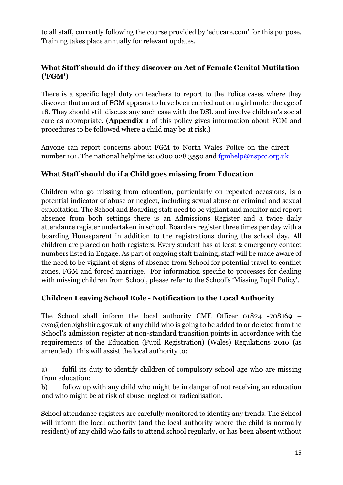to all staff, currently following the course provided by 'educare.com' for this purpose. Training takes place annually for relevant updates.

### **What Staff should do if they discover an Act of Female Genital Mutilation ('FGM')**

There is a specific legal duty on teachers to report to the Police cases where they discover that an act of FGM appears to have been carried out on a girl under the age of 18. They should still discuss any such case with the DSL and involve children's social care as appropriate. (**Appendix 1** of this policy gives information about FGM and procedures to be followed where a child may be at risk.)

Anyone can report concerns about FGM to North Wales Police on the direct number 101. The national helpline is: 0800 028 3550 and  $fgmhelp@nspec.org.uk$ 

#### **What Staff should do if a Child goes missing from Education**

Children who go missing from education, particularly on repeated occasions, is a potential indicator of abuse or neglect, including sexual abuse or criminal and sexual exploitation. The School and Boarding staff need to be vigilant and monitor and report absence from both settings there is an Admissions Register and a twice daily attendance register undertaken in school. Boarders register three times per day with a boarding Houseparent in addition to the registrations during the school day. All children are placed on both registers. Every student has at least 2 emergency contact numbers listed in Engage. As part of ongoing staff training, staff will be made aware of the need to be vigilant of signs of absence from School for potential travel to conflict zones, FGM and forced marriage. For information specific to processes for dealing with missing children from School, please refer to the School's 'Missing Pupil Policy'.

#### **Children Leaving School Role - Notification to the Local Authority**

The School shall inform the local authority CME Officer 01824 -708169 – [ewo@denbighshire.gov.uk](mailto:ewo@denbighshire.gov.uk) of any child who is going to be added to or deleted from the School's admission register at non-standard transition points in accordance with the requirements of the Education (Pupil Registration) (Wales) Regulations 2010 (as amended). This will assist the local authority to:

a) fulfil its duty to identify children of compulsory school age who are missing from education;

b) follow up with any child who might be in danger of not receiving an education and who might be at risk of abuse, neglect or radicalisation.

School attendance registers are carefully monitored to identify any trends. The School will inform the local authority (and the local authority where the child is normally resident) of any child who fails to attend school regularly, or has been absent without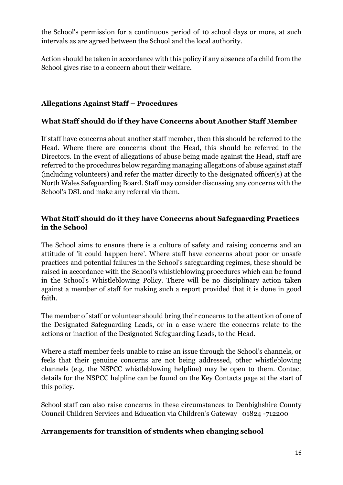the School's permission for a continuous period of 10 school days or more, at such intervals as are agreed between the School and the local authority.

Action should be taken in accordance with this policy if any absence of a child from the School gives rise to a concern about their welfare.

### **Allegations Against Staff – Procedures**

#### **What Staff should do if they have Concerns about Another Staff Member**

If staff have concerns about another staff member, then this should be referred to the Head. Where there are concerns about the Head, this should be referred to the Directors. In the event of allegations of abuse being made against the Head, staff are referred to the procedures below regarding managing allegations of abuse against staff (including volunteers) and refer the matter directly to the designated officer(s) at the North Wales Safeguarding Board. Staff may consider discussing any concerns with the School's DSL and make any referral via them.

#### **What Staff should do it they have Concerns about Safeguarding Practices in the School**

The School aims to ensure there is a culture of safety and raising concerns and an attitude of 'it could happen here'. Where staff have concerns about poor or unsafe practices and potential failures in the School's safeguarding regimes, these should be raised in accordance with the School's whistleblowing procedures which can be found in the School's Whistleblowing Policy. There will be no disciplinary action taken against a member of staff for making such a report provided that it is done in good faith.

The member of staff or volunteer should bring their concerns to the attention of one of the Designated Safeguarding Leads, or in a case where the concerns relate to the actions or inaction of the Designated Safeguarding Leads, to the Head.

Where a staff member feels unable to raise an issue through the School's channels, or feels that their genuine concerns are not being addressed, other whistleblowing channels (e.g. the NSPCC whistleblowing helpline) may be open to them. Contact details for the NSPCC helpline can be found on the Key Contacts page at the start of this policy.

School staff can also raise concerns in these circumstances to Denbighshire County Council Children Services and Education via Children's Gateway 01824 -712200

#### **Arrangements for transition of students when changing school**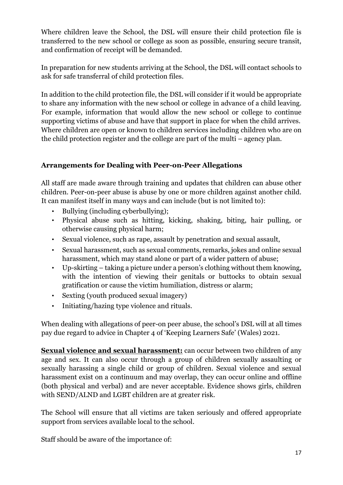Where children leave the School, the DSL will ensure their child protection file is transferred to the new school or college as soon as possible, ensuring secure transit, and confirmation of receipt will be demanded.

In preparation for new students arriving at the School, the DSL will contact schools to ask for safe transferral of child protection files.

In addition to the child protection file, the DSL will consider if it would be appropriate to share any information with the new school or college in advance of a child leaving. For example, information that would allow the new school or college to continue supporting victims of abuse and have that support in place for when the child arrives. Where children are open or known to children services including children who are on the child protection register and the college are part of the multi – agency plan.

# **Arrangements for Dealing with Peer-on-Peer Allegations**

All staff are made aware through training and updates that children can abuse other children. Peer-on-peer abuse is abuse by one or more children against another child. It can manifest itself in many ways and can include (but is not limited to):

- Bullying (including cyberbullying);
- Physical abuse such as hitting, kicking, shaking, biting, hair pulling, or otherwise causing physical harm;
- Sexual violence, such as rape, assault by penetration and sexual assault,
- Sexual harassment, such as sexual comments, remarks, jokes and online sexual harassment, which may stand alone or part of a wider pattern of abuse;
- Up-skirting taking a picture under a person's clothing without them knowing, with the intention of viewing their genitals or buttocks to obtain sexual gratification or cause the victim humiliation, distress or alarm;
- Sexting (youth produced sexual imagery)
- Initiating/hazing type violence and rituals.

When dealing with allegations of peer-on peer abuse, the school's DSL will at all times pay due regard to advice in Chapter 4 of 'Keeping Learners Safe' (Wales) 2021.

**Sexual violence and sexual harassment:** can occur between two children of any age and sex. It can also occur through a group of children sexually assaulting or sexually harassing a single child or group of children. Sexual violence and sexual harassment exist on a continuum and may overlap, they can occur online and offline (both physical and verbal) and are never acceptable. Evidence shows girls, children with SEND/ALND and LGBT children are at greater risk.

The School will ensure that all victims are taken seriously and offered appropriate support from services available local to the school.

Staff should be aware of the importance of: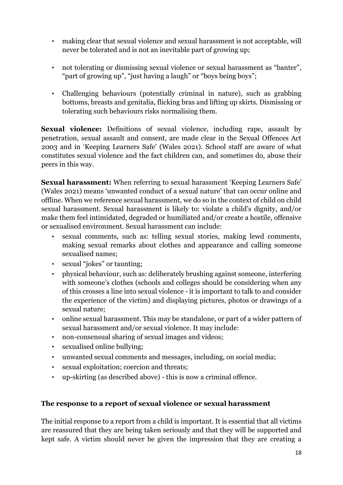- making clear that sexual violence and sexual harassment is not acceptable, will never be tolerated and is not an inevitable part of growing up;
- not tolerating or dismissing sexual violence or sexual harassment as "banter", "part of growing up", "just having a laugh" or "boys being boys";
- Challenging behaviours (potentially criminal in nature), such as grabbing bottoms, breasts and genitalia, flicking bras and lifting up skirts. Dismissing or tolerating such behaviours risks normalising them.

**Sexual violence:** Definitions of sexual violence, including rape, assault by penetration, sexual assault and consent, are made clear in the Sexual Offences Act 2003 and in 'Keeping Learners Safe' (Wales 2021). School staff are aware of what constitutes sexual violence and the fact children can, and sometimes do, abuse their peers in this way.

**Sexual harassment:** When referring to sexual harassment 'Keeping Learners Safe' (Wales 2021) means 'unwanted conduct of a sexual nature' that can occur online and offline. When we reference sexual harassment, we do so in the context of child on child sexual harassment. Sexual harassment is likely to: violate a child's dignity, and/or make them feel intimidated, degraded or humiliated and/or create a hostile, offensive or sexualised environment. Sexual harassment can include:

- sexual comments, such as: telling sexual stories, making lewd comments, making sexual remarks about clothes and appearance and calling someone sexualised names;
- sexual "jokes" or taunting;
- physical behaviour, such as: deliberately brushing against someone, interfering with someone's clothes (schools and colleges should be considering when any of this crosses a line into sexual violence - it is important to talk to and consider the experience of the victim) and displaying pictures, photos or drawings of a sexual nature;
- online sexual harassment. This may be standalone, or part of a wider pattern of sexual harassment and/or sexual violence. It may include:
- non-consensual sharing of sexual images and videos;
- sexualised online bullying;
- unwanted sexual comments and messages, including, on social media;
- sexual exploitation; coercion and threats;
- up-skirting (as described above) this is now a criminal offence.

#### **The response to a report of sexual violence or sexual harassment**

The initial response to a report from a child is important. It is essential that all victims are reassured that they are being taken seriously and that they will be supported and kept safe. A victim should never be given the impression that they are creating a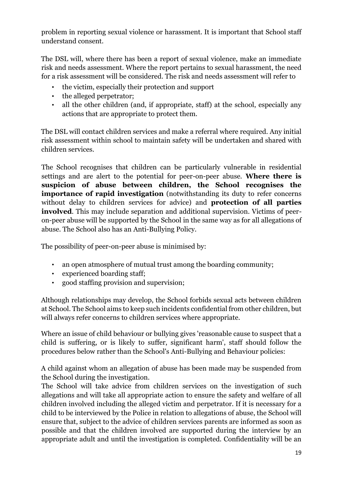problem in reporting sexual violence or harassment. It is important that School staff understand consent.

The DSL will, where there has been a report of sexual violence, make an immediate risk and needs assessment. Where the report pertains to sexual harassment, the need for a risk assessment will be considered. The risk and needs assessment will refer to

- the victim, especially their protection and support
- the alleged perpetrator;
- all the other children (and, if appropriate, staff) at the school, especially any actions that are appropriate to protect them.

The DSL will contact children services and make a referral where required. Any initial risk assessment within school to maintain safety will be undertaken and shared with children services.

The School recognises that children can be particularly vulnerable in residential settings and are alert to the potential for peer-on-peer abuse. **Where there is suspicion of abuse between children, the School recognises the importance of rapid investigation** (notwithstanding its duty to refer concerns without delay to children services for advice) and **protection of all parties involved**. This may include separation and additional supervision. Victims of peeron-peer abuse will be supported by the School in the same way as for all allegations of abuse. The School also has an Anti-Bullying Policy.

The possibility of peer-on-peer abuse is minimised by:

- an open atmosphere of mutual trust among the boarding community;
- experienced boarding staff;
- good staffing provision and supervision;

Although relationships may develop, the School forbids sexual acts between children at School. The School aims to keep such incidents confidential from other children, but will always refer concerns to children services where appropriate.

Where an issue of child behaviour or bullying gives 'reasonable cause to suspect that a child is suffering, or is likely to suffer, significant harm', staff should follow the procedures below rather than the School's Anti-Bullying and Behaviour policies:

A child against whom an allegation of abuse has been made may be suspended from the School during the investigation.

The School will take advice from children services on the investigation of such allegations and will take all appropriate action to ensure the safety and welfare of all children involved including the alleged victim and perpetrator. If it is necessary for a child to be interviewed by the Police in relation to allegations of abuse, the School will ensure that, subject to the advice of children services parents are informed as soon as possible and that the children involved are supported during the interview by an appropriate adult and until the investigation is completed. Confidentiality will be an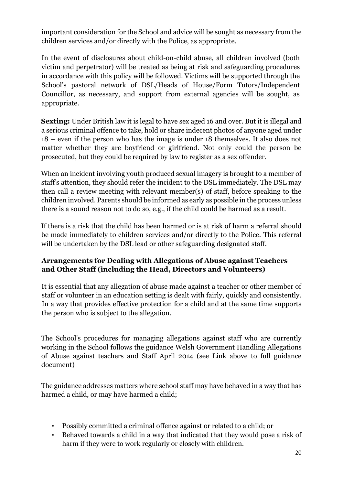important consideration for the School and advice will be sought as necessary from the children services and/or directly with the Police, as appropriate.

In the event of disclosures about child-on-child abuse, all children involved (both victim and perpetrator) will be treated as being at risk and safeguarding procedures in accordance with this policy will be followed. Victims will be supported through the School's pastoral network of DSL/Heads of House/Form Tutors/Independent Councillor, as necessary, and support from external agencies will be sought, as appropriate.

**Sexting:** Under British law it is legal to have sex aged 16 and over. But it is illegal and a serious criminal offence to take, hold or share indecent photos of anyone aged under 18 – even if the person who has the image is under 18 themselves. It also does not matter whether they are boyfriend or girlfriend. Not only could the person be prosecuted, but they could be required by law to register as a sex offender.

When an incident involving youth produced sexual imagery is brought to a member of staff's attention, they should refer the incident to the DSL immediately. The DSL may then call a review meeting with relevant member(s) of staff, before speaking to the children involved. Parents should be informed as early as possible in the process unless there is a sound reason not to do so, e.g., if the child could be harmed as a result.

If there is a risk that the child has been harmed or is at risk of harm a referral should be made immediately to children services and/or directly to the Police. This referral will be undertaken by the DSL lead or other safeguarding designated staff.

#### **Arrangements for Dealing with Allegations of Abuse against Teachers and Other Staff (including the Head, Directors and Volunteers)**

It is essential that any allegation of abuse made against a teacher or other member of staff or volunteer in an education setting is dealt with fairly, quickly and consistently. In a way that provides effective protection for a child and at the same time supports the person who is subject to the allegation.

The School's procedures for managing allegations against staff who are currently working in the School follows the guidance Welsh Government Handling Allegations of Abuse against teachers and Staff April 2014 (see Link above to full guidance document)

The guidance addresses matters where school staff may have behaved in a way that has harmed a child, or may have harmed a child;

- Possibly committed a criminal offence against or related to a child; or
- Behaved towards a child in a way that indicated that they would pose a risk of harm if they were to work regularly or closely with children.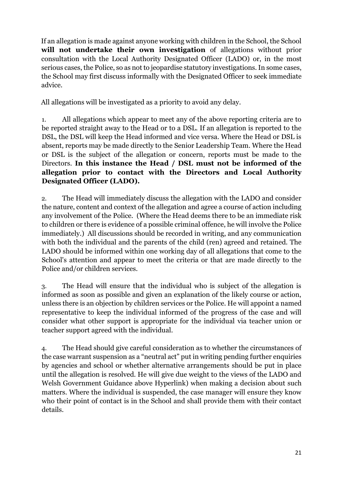If an allegation is made against anyone working with children in the School, the School **will not undertake their own investigation** of allegations without prior consultation with the Local Authority Designated Officer (LADO) or, in the most serious cases, the Police, so as not to jeopardise statutory investigations. In some cases, the School may first discuss informally with the Designated Officer to seek immediate advice.

All allegations will be investigated as a priority to avoid any delay.

1. All allegations which appear to meet any of the above reporting criteria are to be reported straight away to the Head or to a DSL. If an allegation is reported to the DSL, the DSL will keep the Head informed and vice versa. Where the Head or DSL is absent, reports may be made directly to the Senior Leadership Team. Where the Head or DSL is the subject of the allegation or concern, reports must be made to the Directors. **In this instance the Head / DSL must not be informed of the allegation prior to contact with the Directors and Local Authority Designated Officer (LADO).** 

2. The Head will immediately discuss the allegation with the LADO and consider the nature, content and context of the allegation and agree a course of action including any involvement of the Police. (Where the Head deems there to be an immediate risk to children or there is evidence of a possible criminal offence, he will involve the Police immediately.) All discussions should be recorded in writing, and any communication with both the individual and the parents of the child (ren) agreed and retained. The LADO should be informed within one working day of all allegations that come to the School's attention and appear to meet the criteria or that are made directly to the Police and/or children services.

3. The Head will ensure that the individual who is subject of the allegation is informed as soon as possible and given an explanation of the likely course or action, unless there is an objection by children services or the Police. He will appoint a named representative to keep the individual informed of the progress of the case and will consider what other support is appropriate for the individual via teacher union or teacher support agreed with the individual.

4. The Head should give careful consideration as to whether the circumstances of the case warrant suspension as a "neutral act" put in writing pending further enquiries by agencies and school or whether alternative arrangements should be put in place until the allegation is resolved. He will give due weight to the views of the LADO and Welsh Government Guidance above Hyperlink) when making a decision about such matters. Where the individual is suspended, the case manager will ensure they know who their point of contact is in the School and shall provide them with their contact details.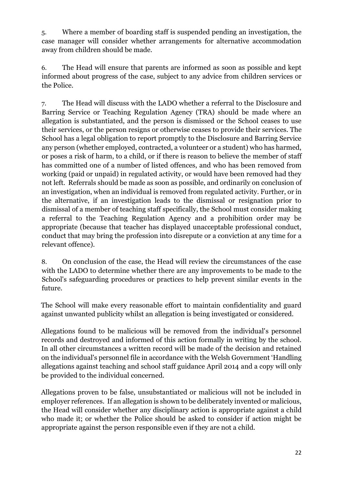5. Where a member of boarding staff is suspended pending an investigation, the case manager will consider whether arrangements for alternative accommodation away from children should be made.

6. The Head will ensure that parents are informed as soon as possible and kept informed about progress of the case, subject to any advice from children services or the Police.

7. The Head will discuss with the LADO whether a referral to the Disclosure and Barring Service or Teaching Regulation Agency (TRA) should be made where an allegation is substantiated, and the person is dismissed or the School ceases to use their services, or the person resigns or otherwise ceases to provide their services. The School has a legal obligation to report promptly to the Disclosure and Barring Service any person (whether employed, contracted, a volunteer or a student) who has harmed, or poses a risk of harm, to a child, or if there is reason to believe the member of staff has committed one of a number of listed offences, and who has been removed from working (paid or unpaid) in regulated activity, or would have been removed had they not left. Referrals should be made as soon as possible, and ordinarily on conclusion of an investigation, when an individual is removed from regulated activity. Further, or in the alternative, if an investigation leads to the dismissal or resignation prior to dismissal of a member of teaching staff specifically, the School must consider making a referral to the Teaching Regulation Agency and a prohibition order may be appropriate (because that teacher has displayed unacceptable professional conduct, conduct that may bring the profession into disrepute or a conviction at any time for a relevant offence).

8. On conclusion of the case, the Head will review the circumstances of the case with the LADO to determine whether there are any improvements to be made to the School's safeguarding procedures or practices to help prevent similar events in the future.

The School will make every reasonable effort to maintain confidentiality and guard against unwanted publicity whilst an allegation is being investigated or considered.

Allegations found to be malicious will be removed from the individual's personnel records and destroyed and informed of this action formally in writing by the school. In all other circumstances a written record will be made of the decision and retained on the individual's personnel file in accordance with the Welsh Government 'Handling allegations against teaching and school staff guidance April 2014 and a copy will only be provided to the individual concerned.

Allegations proven to be false, unsubstantiated or malicious will not be included in employer references. If an allegation is shown to be deliberately invented or malicious, the Head will consider whether any disciplinary action is appropriate against a child who made it; or whether the Police should be asked to consider if action might be appropriate against the person responsible even if they are not a child.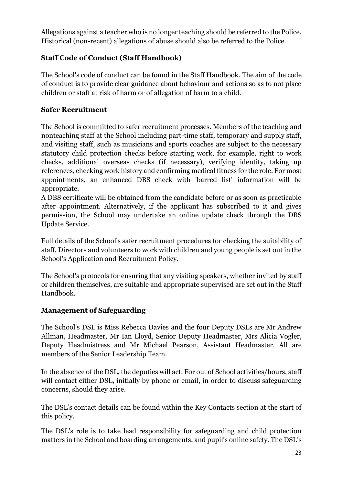Allegations against a teacher who is no longer teaching should be referred to the Police. Historical (non-recent) allegations of abuse should also be referred to the Police.

# **Staff Code of Conduct (Staff Handbook)**

The School's code of conduct can be found in the Staff Handbook. The aim of the code of conduct is to provide clear guidance about behaviour and actions so as to not place children or staff at risk of harm or of allegation of harm to a child.

#### **Safer Recruitment**

The School is committed to safer recruitment processes. Members of the teaching and nonteaching staff at the School including part-time staff, temporary and supply staff, and visiting staff, such as musicians and sports coaches are subject to the necessary statutory child protection checks before starting work, for example, right to work checks, additional overseas checks (if necessary), verifying identity, taking up references, checking work history and confirming medical fitness for the role. For most appointments, an enhanced DBS check with 'barred list' information will be appropriate.

A DBS certificate will be obtained from the candidate before or as soon as practicable after appointment. Alternatively, if the applicant has subscribed to it and gives permission, the School may undertake an online update check through the DBS Update Service.

Full details of the School's safer recruitment procedures for checking the suitability of staff, Directors and volunteers to work with children and young people is set out in the School's Application and Recruitment Policy.

The School's protocols for ensuring that any visiting speakers, whether invited by staff or children themselves, are suitable and appropriate supervised are set out in the Staff Handbook.

#### **Management of Safeguarding**

The School's DSL is Miss Rebecca Davies and the four Deputy DSLs are Mr Andrew Allman, Headmaster, Mr Ian Lloyd, Senior Deputy Headmaster, Mrs Alicia Vogler, Deputy Headmistress and Mr Michael Pearson, Assistant Headmaster. All are members of the Senior Leadership Team.

In the absence of the DSL, the deputies will act. For out of School activities/hours, staff will contact either DSL, initially by phone or email, in order to discuss safeguarding concerns, should they arise.

The DSL's contact details can be found within the Key Contacts section at the start of this policy.

The DSL's role is to take lead responsibility for safeguarding and child protection matters in the School and boarding arrangements, and pupil's online safety. The DSL's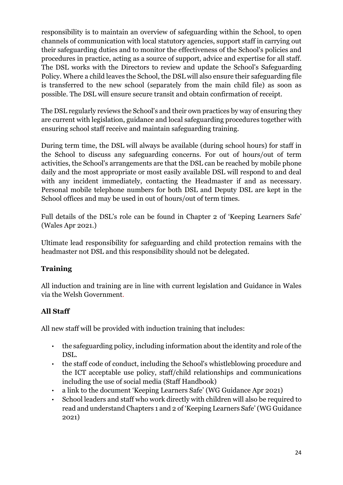responsibility is to maintain an overview of safeguarding within the School, to open channels of communication with local statutory agencies, support staff in carrying out their safeguarding duties and to monitor the effectiveness of the School's policies and procedures in practice, acting as a source of support, advice and expertise for all staff. The DSL works with the Directors to review and update the School's Safeguarding Policy. Where a child leaves the School, the DSL will also ensure their safeguarding file is transferred to the new school (separately from the main child file) as soon as possible. The DSL will ensure secure transit and obtain confirmation of receipt.

The DSL regularly reviews the School's and their own practices by way of ensuring they are current with legislation, guidance and local safeguarding procedures together with ensuring school staff receive and maintain safeguarding training.

During term time, the DSL will always be available (during school hours) for staff in the School to discuss any safeguarding concerns. For out of hours/out of term activities, the School's arrangements are that the DSL can be reached by mobile phone daily and the most appropriate or most easily available DSL will respond to and deal with any incident immediately, contacting the Headmaster if and as necessary. Personal mobile telephone numbers for both DSL and Deputy DSL are kept in the School offices and may be used in out of hours/out of term times.

Full details of the DSL's role can be found in Chapter 2 of 'Keeping Learners Safe' (Wales Apr 2021.)

Ultimate lead responsibility for safeguarding and child protection remains with the headmaster not DSL and this responsibility should not be delegated.

# **Training**

All induction and training are in line with current legislation and Guidance in Wales via the Welsh Government.

# **All Staff**

All new staff will be provided with induction training that includes:

- the safeguarding policy, including information about the identity and role of the DSL.
- the staff code of conduct, including the School's whistleblowing procedure and the ICT acceptable use policy, staff/child relationships and communications including the use of social media (Staff Handbook)
- a link to the document 'Keeping Learners Safe' (WG Guidance Apr 2021)
- School leaders and staff who work directly with children will also be required to read and understand Chapters 1 and 2 of 'Keeping Learners Safe' (WG Guidance 2021)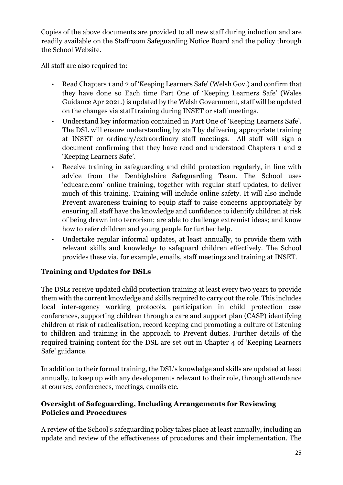Copies of the above documents are provided to all new staff during induction and are readily available on the Staffroom Safeguarding Notice Board and the policy through the School Website.

All staff are also required to:

- Read Chapters 1 and 2 of 'Keeping Learners Safe' (Welsh Gov.) and confirm that they have done so Each time Part One of 'Keeping Learners Safe' (Wales Guidance Apr 2021.) is updated by the Welsh Government, staff will be updated on the changes via staff training during INSET or staff meetings.
- Understand key information contained in Part One of 'Keeping Learners Safe'. The DSL will ensure understanding by staff by delivering appropriate training at INSET or ordinary/extraordinary staff meetings. All staff will sign a document confirming that they have read and understood Chapters 1 and 2 'Keeping Learners Safe'.
- Receive training in safeguarding and child protection regularly, in line with advice from the Denbighshire Safeguarding Team. The School uses 'educare.com' online training, together with regular staff updates, to deliver much of this training. Training will include online safety. It will also include Prevent awareness training to equip staff to raise concerns appropriately by ensuring all staff have the knowledge and confidence to identify children at risk of being drawn into terrorism; are able to challenge extremist ideas; and know how to refer children and young people for further help.
- Undertake regular informal updates, at least annually, to provide them with relevant skills and knowledge to safeguard children effectively. The School provides these via, for example, emails, staff meetings and training at INSET.

# **Training and Updates for DSLs**

The DSLs receive updated child protection training at least every two years to provide them with the current knowledge and skills required to carry out the role. This includes local inter-agency working protocols, participation in child protection case conferences, supporting children through a care and support plan (CASP) identifying children at risk of radicalisation, record keeping and promoting a culture of listening to children and training in the approach to Prevent duties. Further details of the required training content for the DSL are set out in Chapter 4 of 'Keeping Learners Safe' guidance.

In addition to their formal training, the DSL's knowledge and skills are updated at least annually, to keep up with any developments relevant to their role, through attendance at courses, conferences, meetings, emails etc.

#### **Oversight of Safeguarding, Including Arrangements for Reviewing Policies and Procedures**

A review of the School's safeguarding policy takes place at least annually, including an update and review of the effectiveness of procedures and their implementation. The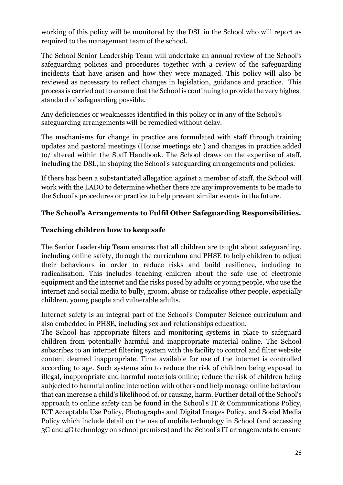working of this policy will be monitored by the DSL in the School who will report as required to the management team of the school.

The School Senior Leadership Team will undertake an annual review of the School's safeguarding policies and procedures together with a review of the safeguarding incidents that have arisen and how they were managed. This policy will also be reviewed as necessary to reflect changes in legislation, guidance and practice. This process is carried out to ensure that the School is continuing to provide the very highest standard of safeguarding possible.

Any deficiencies or weaknesses identified in this policy or in any of the School's safeguarding arrangements will be remedied without delay.

The mechanisms for change in practice are formulated with staff through training updates and pastoral meetings (House meetings etc.) and changes in practice added to/ altered within the [S](http://www.barnardcastleschool.org.uk/)taff Handbook. The School draws on the expertise of staff, including the DSL, in shaping the School's safeguarding arrangements and policies.

If there has been a substantiated allegation against a member of staff, the School will work with the LADO to determine whether there are any improvements to be made to the School's procedures or practice to help prevent similar events in the future.

#### **The School's Arrangements to Fulfil Other Safeguarding Responsibilities.**

#### **Teaching children how to keep safe**

The Senior Leadership Team ensures that all children are taught about safeguarding, including online safety, through the curriculum and PHSE to help children to adjust their behaviours in order to reduce risks and build resilience, including to radicalisation. This includes teaching children about the safe use of electronic equipment and the internet and the risks posed by adults or young people, who use the internet and social media to bully, groom, abuse or radicalise other people, especially children, young people and vulnerable adults.

Internet safety is an integral part of the School's Computer Science curriculum and also embedded in PHSE, including sex and relationships education.

The School has appropriate filters and monitoring systems in place to safeguard children from potentially harmful and inappropriate material online. The School subscribes to an internet filtering system with the facility to control and filter website content deemed inappropriate. Time available for use of the internet is controlled according to age. Such systems aim to reduce the risk of children being exposed to illegal, inappropriate and harmful materials online; reduce the risk of children being subjected to harmful online interaction with others and help manage online behaviour that can increase a child's likelihood of, or causing, harm. Further detail of the School's approach to online safety can be found in the School's IT & Communications Policy, ICT Acceptable Use Policy, Photographs and Digital Images Policy, and Social Media Policy which include detail on the use of mobile technology in School (and accessing 3G and 4G technology on school premises) and the School's IT arrangements to ensure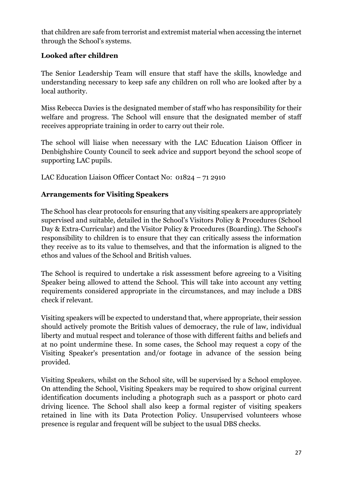that children are safe from terrorist and extremist material when accessing the internet through the School's systems.

### **Looked after children**

The Senior Leadership Team will ensure that staff have the skills, knowledge and understanding necessary to keep safe any children on roll who are looked after by a local authority.

Miss Rebecca Davies is the designated member of staff who has responsibility for their welfare and progress. The School will ensure that the designated member of staff receives appropriate training in order to carry out their role.

The school will liaise when necessary with the LAC Education Liaison Officer in Denbighshire County Council to seek advice and support beyond the school scope of supporting LAC pupils.

LAC Education Liaison Officer Contact No: 01824 – 71 2910

# **Arrangements for Visiting Speakers**

The School has clear protocols for ensuring that any visiting speakers are appropriately supervised and suitable, detailed in the School's Visitors Policy & Procedures (School Day & Extra-Curricular) and the Visitor Policy & Procedures (Boarding). The School's responsibility to children is to ensure that they can critically assess the information they receive as to its value to themselves, and that the information is aligned to the ethos and values of the School and British values.

The School is required to undertake a risk assessment before agreeing to a Visiting Speaker being allowed to attend the School. This will take into account any vetting requirements considered appropriate in the circumstances, and may include a DBS check if relevant.

Visiting speakers will be expected to understand that, where appropriate, their session should actively promote the British values of democracy, the rule of law, individual liberty and mutual respect and tolerance of those with different faiths and beliefs and at no point undermine these. In some cases, the School may request a copy of the Visiting Speaker's presentation and/or footage in advance of the session being provided.

Visiting Speakers, whilst on the School site, will be supervised by a School employee. On attending the School, Visiting Speakers may be required to show original current identification documents including a photograph such as a passport or photo card driving licence. The School shall also keep a formal register of visiting speakers retained in line with its Data Protection Policy. Unsupervised volunteers whose presence is regular and frequent will be subject to the usual DBS checks.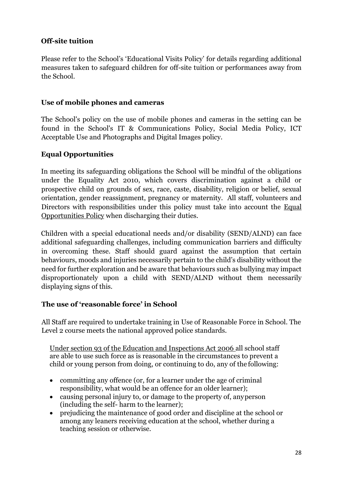#### **Off-site tuition**

Please refer to the School's 'Educational Visits Policy' for details regarding additional measures taken to safeguard children for off-site tuition or performances away from the School.

#### **Use of mobile phones and cameras**

The School's policy on the use of mobile phones and cameras in the setting can be found in the School's IT & Communications Policy, Social Media Policy, ICT Acceptable Use and Photographs and Digital Images policy.

#### **[Equal Opportunities](file://///bcs-sr-file1/staffshared/Policy%20Documents/Equal%20Opportunities.doc)**

In meeting its safeguarding obligations the School will be mindful of the obligations under the Equality Act 2010, which covers discrimination against a child or prospective child on grounds of sex, race, caste, disability, religion or belief, sexual orientation, gender reassignment, pregnancy or maternity. All staff, volunteers and Directors with responsibilities under this policy must take into account the [Equal](file://///bcs-sr-file1/staffshared/Policy%20Documents/Equal%20Opportunities.doc)  [Opportunities Policy](file://///bcs-sr-file1/staffshared/Policy%20Documents/Equal%20Opportunities.doc) [w](file://///bcs-sr-file1/staffshared/Policy%20Documents/Equal%20Opportunities.doc)hen discharging their duties.

Children with a special educational needs and/or disability (SEND/ALND) can face additional safeguarding challenges, including communication barriers and difficulty in overcoming these. Staff should guard against the assumption that certain behaviours, moods and injuries necessarily pertain to the child's disability without the need for further exploration and be aware that behaviours such as bullying may impact disproportionately upon a child with SEND/ALND without them necessarily displaying signs of this.

#### **The use of 'reasonable force' in School**

All Staff are required to undertake training in Use of Reasonable Force in School. The Level 2 course meets the national approved police standards.

[Under section 93 of the Education and Inspections Act 2006 a](http://www.legislation.gov.uk/ukpga/2006/40/section/93)ll school staff are able to use such force as is reasonable in the circumstances to prevent a child or young person from doing, or continuing to do, any of the following:

- committing any offence (or, for a learner under the age of criminal responsibility, what would be an offence for an older learner);
- causing personal injury to, or damage to the property of, anyperson (including the self- harm to the learner);
- prejudicing the maintenance of good order and discipline at the school or among any leaners receiving education at the school, whether during a teaching session or otherwise.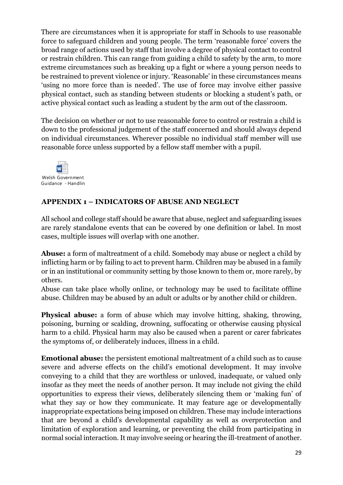There are circumstances when it is appropriate for staff in Schools to use reasonable force to safeguard children and young people. The term 'reasonable force' covers the broad range of actions used by staff that involve a degree of physical contact to control or restrain children. This can range from guiding a child to safety by the arm, to more extreme circumstances such as breaking up a fight or where a young person needs to be restrained to prevent violence or injury. 'Reasonable' in these circumstances means 'using no more force than is needed'. The use of force may involve either passive physical contact, such as standing between students or blocking a student's path, or active physical contact such as leading a student by the arm out of the classroom.

The decision on whether or not to use reasonable force to control or restrain a child is down to the professional judgement of the staff concerned and should always depend on individual circumstances. Wherever possible no individual staff member will use reasonable force unless supported by a fellow staff member with a pupil.



#### **APPENDIX 1 – INDICATORS OF ABUSE AND NEGLECT**

All school and college staff should be aware that abuse, neglect and safeguarding issues are rarely standalone events that can be covered by one definition or label. In most cases, multiple issues will overlap with one another.

**Abuse:** a form of maltreatment of a child. Somebody may abuse or neglect a child by inflicting harm or by failing to act to prevent harm. Children may be abused in a family or in an institutional or community setting by those known to them or, more rarely, by others.

Abuse can take place wholly online, or technology may be used to facilitate offline abuse. Children may be abused by an adult or adults or by another child or children.

**Physical abuse:** a form of abuse which may involve hitting, shaking, throwing, poisoning, burning or scalding, drowning, suffocating or otherwise causing physical harm to a child. Physical harm may also be caused when a parent or carer fabricates the symptoms of, or deliberately induces, illness in a child.

**Emotional abuse:** the persistent emotional maltreatment of a child such as to cause severe and adverse effects on the child's emotional development. It may involve conveying to a child that they are worthless or unloved, inadequate, or valued only insofar as they meet the needs of another person. It may include not giving the child opportunities to express their views, deliberately silencing them or 'making fun' of what they say or how they communicate. It may feature age or developmentally inappropriate expectations being imposed on children. These may include interactions that are beyond a child's developmental capability as well as overprotection and limitation of exploration and learning, or preventing the child from participating in normal social interaction. It may involve seeing or hearing the ill-treatment of another.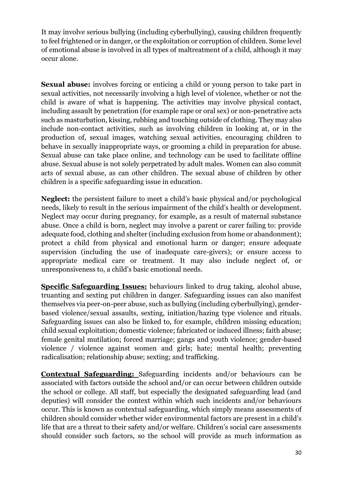It may involve serious bullying (including cyberbullying), causing children frequently to feel frightened or in danger, or the exploitation or corruption of children. Some level of emotional abuse is involved in all types of maltreatment of a child, although it may occur alone.

**Sexual abuse:** involves forcing or enticing a child or young person to take part in sexual activities, not necessarily involving a high level of violence, whether or not the child is aware of what is happening. The activities may involve physical contact, including assault by penetration (for example rape or oral sex) or non-penetrative acts such as masturbation, kissing, rubbing and touching outside of clothing. They may also include non-contact activities, such as involving children in looking at, or in the production of, sexual images, watching sexual activities, encouraging children to behave in sexually inappropriate ways, or grooming a child in preparation for abuse. Sexual abuse can take place online, and technology can be used to facilitate offline abuse. Sexual abuse is not solely perpetrated by adult males. Women can also commit acts of sexual abuse, as can other children. The sexual abuse of children by other children is a specific safeguarding issue in education.

**Neglect:** the persistent failure to meet a child's basic physical and/or psychological needs, likely to result in the serious impairment of the child's health or development. Neglect may occur during pregnancy, for example, as a result of maternal substance abuse. Once a child is born, neglect may involve a parent or carer failing to: provide adequate food, clothing and shelter (including exclusion from home or abandonment); protect a child from physical and emotional harm or danger; ensure adequate supervision (including the use of inadequate care-givers); or ensure access to appropriate medical care or treatment. It may also include neglect of, or unresponsiveness to, a child's basic emotional needs.

**Specific Safeguarding Issues:** behaviours linked to drug taking, alcohol abuse, truanting and sexting put children in danger. Safeguarding issues can also manifest themselves via peer-on-peer abuse, such as bullying (including cyberbullying), genderbased violence/sexual assaults, sexting, initiation/hazing type violence and rituals. Safeguarding issues can also be linked to, for example, children missing education; child sexual exploitation; domestic violence; fabricated or induced illness; faith abuse; female genital mutilation; forced marriage; gangs and youth violence; gender-based violence / violence against women and girls; hate; mental health; preventing radicalisation; relationship abuse; sexting; and trafficking.

**Contextual Safeguarding:** Safeguarding incidents and/or behaviours can be associated with factors outside the school and/or can occur between children outside the school or college. All staff, but especially the designated safeguarding lead (and deputies) will consider the context within which such incidents and/or behaviours occur. This is known as contextual safeguarding, which simply means assessments of children should consider whether wider environmental factors are present in a child's life that are a threat to their safety and/or welfare. Children's social care assessments should consider such factors, so the school will provide as much information as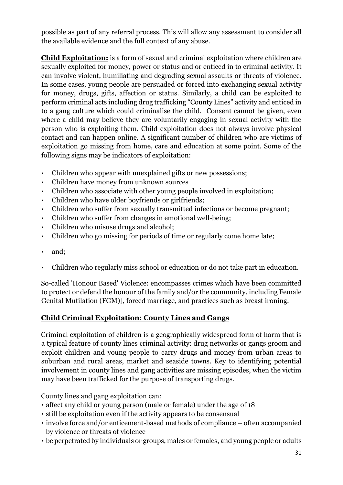possible as part of any referral process. This will allow any assessment to consider all the available evidence and the full context of any abuse.

**Child Exploitation:** is a form of sexual and criminal exploitation where children are sexually exploited for money, power or status and or enticed in to criminal activity. It can involve violent, humiliating and degrading sexual assaults or threats of violence. In some cases, young people are persuaded or forced into exchanging sexual activity for money, drugs, gifts, affection or status. Similarly, a child can be exploited to perform criminal acts including drug trafficking "County Lines" activity and enticed in to a gang culture which could criminalise the child. Consent cannot be given, even where a child may believe they are voluntarily engaging in sexual activity with the person who is exploiting them. Child exploitation does not always involve physical contact and can happen online. A significant number of children who are victims of exploitation go missing from home, care and education at some point. Some of the following signs may be indicators of exploitation:

- Children who appear with unexplained gifts or new possessions;
- Children have money from unknown sources
- Children who associate with other young people involved in exploitation;
- Children who have older boyfriends or girlfriends;
- Children who suffer from sexually transmitted infections or become pregnant;
- Children who suffer from changes in emotional well-being;
- Children who misuse drugs and alcohol;
- Children who go missing for periods of time or regularly come home late;
- and:
- Children who regularly miss school or education or do not take part in education.

So-called 'Honour Based' Violence: encompasses crimes which have been committed to protect or defend the honour of the family and/or the community, including Female Genital Mutilation (FGM)], forced marriage, and practices such as breast ironing.

#### **Child Criminal Exploitation: County Lines and Gangs**

Criminal exploitation of children is a geographically widespread form of harm that is a typical feature of county lines criminal activity: drug networks or gangs groom and exploit children and young people to carry drugs and money from urban areas to suburban and rural areas, market and seaside towns. Key to identifying potential involvement in county lines and gang activities are missing episodes, when the victim may have been trafficked for the purpose of transporting drugs.

County lines and gang exploitation can:

- affect any child or young person (male or female) under the age of 18
- still be exploitation even if the activity appears to be consensual
- involve force and/or enticement-based methods of compliance often accompanied by violence or threats of violence
- be perpetrated by individuals or groups, males or females, and young people or adults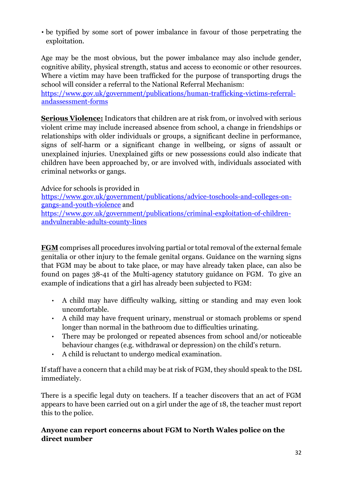• be typified by some sort of power imbalance in favour of those perpetrating the exploitation.

Age may be the most obvious, but the power imbalance may also include gender, cognitive ability, physical strength, status and access to economic or other resources. Where a victim may have been trafficked for the purpose of transporting drugs the school will consider a referral to the National Referral Mechanism:

[https://www.gov.uk/government/publications/human-trafficking-victims-referral](https://www.gov.uk/government/publications/human-trafficking-victims-referral-and-assessment-forms)[andassessment-forms](https://www.gov.uk/government/publications/human-trafficking-victims-referral-and-assessment-forms)

**Serious Violence:** Indicators that children are at risk from, or involved with serious violent crime may include increased absence from school, a change in friendships or relationships with older individuals or groups, a significant decline in performance, signs of self-harm or a significant change in wellbeing, or signs of assault or unexplained injuries. Unexplained gifts or new possessions could also indicate that children have been approached by, or are involved with, individuals associated with criminal networks or gangs.

Advice for schools is provided in

[https://www.gov.uk/government/publications/advice-toschools-and-colleges-on](https://www.gov.uk/government/publications/advice-to-schools-and-colleges-on-gangs-and-youth-violence)[gangs-and-youth-violence](https://www.gov.uk/government/publications/advice-to-schools-and-colleges-on-gangs-and-youth-violence) and [https://www.gov.uk/government/publications/criminal-exploitation-of-children-](https://www.gov.uk/government/publications/criminal-exploitation-of-children-and-vulnerable-adults-county-lines)

[andvulnerable-adults-county-lines](https://www.gov.uk/government/publications/criminal-exploitation-of-children-and-vulnerable-adults-county-lines)

**FGM** comprises all procedures involving partial or total removal of the external female genitalia or other injury to the female genital organs. Guidance on the warning signs that FGM may be about to take place, or may have already taken place, can also be found on pages 38-41 of the Multi-agency statutory guidance on FGM. To give an example of indications that a girl has already been subjected to FGM:

- A child may have difficulty walking, sitting or standing and may even look uncomfortable.
- A child may have frequent urinary, menstrual or stomach problems or spend longer than normal in the bathroom due to difficulties urinating.
- There may be prolonged or repeated absences from school and/or noticeable behaviour changes (e.g. withdrawal or depression) on the child's return.
- A child is reluctant to undergo medical examination.

If staff have a concern that a child may be at risk of FGM, they should speak to the DSL immediately.

There is a specific legal duty on teachers. If a teacher discovers that an act of FGM appears to have been carried out on a girl under the age of 18, the teacher must report this to the police.

# **Anyone can report concerns about FGM to North Wales police on the direct number**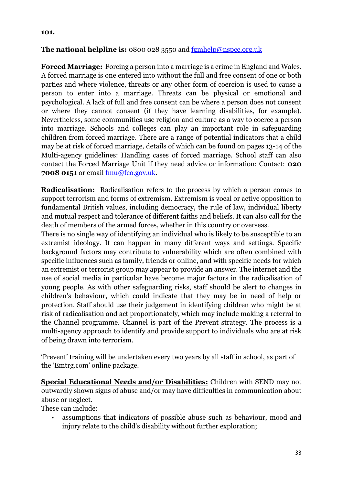#### **101.**

#### **The national helpline is:** 0800 028 3550 and fgmhelp@nspcc.org.uk

**Forced Marriage:** Forcing a person into a marriage is a crime in England and Wales. A forced marriage is one entered into without the full and free consent of one or both parties and where violence, threats or any other form of coercion is used to cause a person to enter into a marriage. Threats can be physical or emotional and psychological. A lack of full and free consent can be where a person does not consent or where they cannot consent (if they have learning disabilities, for example). Nevertheless, some communities use religion and culture as a way to coerce a person into marriage. Schools and colleges can play an important role in safeguarding children from forced marriage. There are a range of potential indicators that a child may be at risk of forced marriage, details of which can be found on pages 13-14 of the Multi-agency guidelines: Handling cases of forced marriage. School staff can also contact the Forced Marriage Unit if they need advice or information: Contact: **020 7008 0151** or email fmu@fco.gov.uk.

**Radicalisation:** Radicalisation refers to the process by which a person comes to support terrorism and forms of extremism. Extremism is vocal or active opposition to fundamental British values, including democracy, the rule of law, individual liberty and mutual respect and tolerance of different faiths and beliefs. It can also call for the death of members of the armed forces, whether in this country or overseas.

There is no single way of identifying an individual who is likely to be susceptible to an extremist ideology. It can happen in many different ways and settings. Specific background factors may contribute to vulnerability which are often combined with specific influences such as family, friends or online, and with specific needs for which an extremist or terrorist group may appear to provide an answer. The internet and the use of social media in particular have become major factors in the radicalisation of young people. As with other safeguarding risks, staff should be alert to changes in children's behaviour, which could indicate that they may be in need of help or protection. Staff should use their judgement in identifying children who might be at risk of radicalisation and act proportionately, which may include making a referral to the Channel programme. Channel is part of the Prevent strategy. The process is a multi-agency approach to identify and provide support to individuals who are at risk of being drawn into terrorism.

'Prevent' training will be undertaken every two years by all staff in school, as part of the 'Emtrg.com' online package.

**Special Educational Needs and/or Disabilities:** Children with SEND may not outwardly shown signs of abuse and/or may have difficulties in communication about abuse or neglect.

These can include:

• assumptions that indicators of possible abuse such as behaviour, mood and injury relate to the child's disability without further exploration;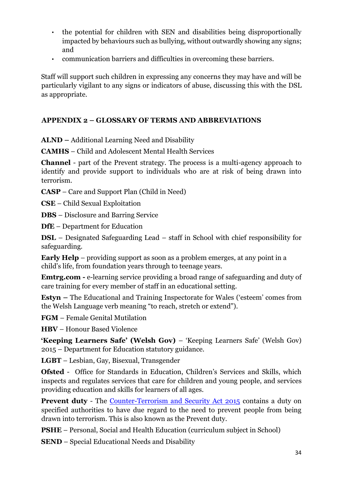- the potential for children with SEN and disabilities being disproportionally impacted by behaviours such as bullying, without outwardly showing any signs; and
- communication barriers and difficulties in overcoming these barriers.

Staff will support such children in expressing any concerns they may have and will be particularly vigilant to any signs or indicators of abuse, discussing this with the DSL as appropriate.

#### **APPENDIX 2 – GLOSSARY OF TERMS AND ABBREVIATIONS**

**ALND –** Additional Learning Need and Disability

**CAMHS** – Child and Adolescent Mental Health Services

**Channel** - part of the Prevent strategy. The process is a multi-agency approach to identify and provide support to individuals who are at risk of being drawn into terrorism.

**CASP** – Care and Support Plan (Child in Need)

**CSE** – Child Sexual Exploitation

**DBS** – Disclosure and Barring Service

**DfE** – Department for Education

**DSL** – Designated Safeguarding Lead – staff in School with chief responsibility for safeguarding.

**Early Help** – providing support as soon as a problem emerges, at any point in a child's life, from foundation years through to teenage years.

**Emtrg.com -** e-learning service providing a broad range of safeguarding and duty of care training for every member of staff in an educational setting.

**Estyn –** The Educational and Training Inspectorate for Wales ('esteem' comes from the Welsh Language verb meaning "to reach, stretch or extend").

**FGM** – Female Genital Mutilation

**HBV** – Honour Based Violence

**'Keeping Learners Safe' (Welsh Gov)** – 'Keeping Learners Safe' (Welsh Gov) 2015 – Department for Education statutory guidance.

**LGBT** – Lesbian, Gay, Bisexual, Transgender

**Ofsted** - Office for Standards in Education, Children's Services and Skills, which inspects and regulates services that care for children and young people, and services providing education and skills for learners of all ages.

**Prevent duty** - The [Counter-Terrorism and Security Act 2015](https://www.gov.uk/government/collections/counter-terrorism-and-security-bill) [c](https://www.gov.uk/government/collections/counter-terrorism-and-security-bill)ontains a duty on specified authorities to have due regard to the need to prevent people from being drawn into terrorism. This is also known as the Prevent duty.

**PSHE** – Personal, Social and Health Education (curriculum subject in School)

**SEND** – Special Educational Needs and Disability